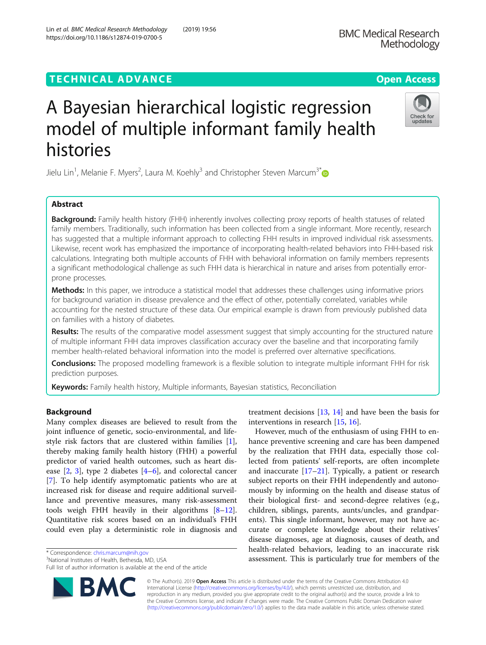## TECHNICAL ADVANCE A CONTROLLER CHARGE AND LODGED ACCESS OPEN ACCESS

# A Bayesian hierarchical logistic regression model of multiple informant family health histories

Jielu Lin<sup>1</sup>, Melanie F. Myers<sup>2</sup>, Laura M. Koehly<sup>3</sup> and Christopher Steven Marcum<sup>3[\\*](http://orcid.org/0000-0002-0899-6143)</sup>

## Abstract

Background: Family health history (FHH) inherently involves collecting proxy reports of health statuses of related family members. Traditionally, such information has been collected from a single informant. More recently, research has suggested that a multiple informant approach to collecting FHH results in improved individual risk assessments. Likewise, recent work has emphasized the importance of incorporating health-related behaviors into FHH-based risk calculations. Integrating both multiple accounts of FHH with behavioral information on family members represents a significant methodological challenge as such FHH data is hierarchical in nature and arises from potentially errorprone processes.

Methods: In this paper, we introduce a statistical model that addresses these challenges using informative priors for background variation in disease prevalence and the effect of other, potentially correlated, variables while accounting for the nested structure of these data. Our empirical example is drawn from previously published data on families with a history of diabetes.

Results: The results of the comparative model assessment suggest that simply accounting for the structured nature of multiple informant FHH data improves classification accuracy over the baseline and that incorporating family member health-related behavioral information into the model is preferred over alternative specifications.

Conclusions: The proposed modelling framework is a flexible solution to integrate multiple informant FHH for risk prediction purposes.

Keywords: Family health history, Multiple informants, Bayesian statistics, Reconciliation

## Background

Many complex diseases are believed to result from the joint influence of genetic, socio-environmental, and lifestyle risk factors that are clustered within families [\[1](#page-8-0)], thereby making family health history (FHH) a powerful predictor of varied health outcomes, such as heart disease  $[2, 3]$  $[2, 3]$  $[2, 3]$  $[2, 3]$ , type 2 diabetes  $[4-6]$  $[4-6]$  $[4-6]$ , and colorectal cancer [[7\]](#page-8-0). To help identify asymptomatic patients who are at increased risk for disease and require additional surveillance and preventive measures, many risk-assessment tools weigh FHH heavily in their algorithms  $[8-12]$  $[8-12]$  $[8-12]$  $[8-12]$  $[8-12]$ . Quantitative risk scores based on an individual's FHH could even play a deterministic role in diagnosis and

<sup>3</sup>National Institutes of Health, Bethesda, MD, USA

Full list of author information is available at the end of the article

© The Author(s). 2019 **Open Access** This article is distributed under the terms of the Creative Commons Attribution 4.0 International License [\(http://creativecommons.org/licenses/by/4.0/](http://creativecommons.org/licenses/by/4.0/)), which permits unrestricted use, distribution, and reproduction in any medium, provided you give appropriate credit to the original author(s) and the source, provide a link to the Creative Commons license, and indicate if changes were made. The Creative Commons Public Domain Dedication waiver [\(http://creativecommons.org/publicdomain/zero/1.0/](http://creativecommons.org/publicdomain/zero/1.0/)) applies to the data made available in this article, unless otherwise stated.

treatment decisions [\[13,](#page-8-0) [14](#page-8-0)] and have been the basis for

However, much of the enthusiasm of using FHH to enhance preventive screening and care has been dampened by the realization that FHH data, especially those collected from patients' self-reports, are often incomplete and inaccurate [\[17](#page-8-0)–[21\]](#page-8-0). Typically, a patient or research subject reports on their FHH independently and autonomously by informing on the health and disease status of their biological first- and second-degree relatives (e.g., children, siblings, parents, aunts/uncles, and grandparents). This single informant, however, may not have accurate or complete knowledge about their relatives' disease diagnoses, age at diagnosis, causes of death, and health-related behaviors, leading to an inaccurate risk

interventions in research [[15](#page-8-0), [16](#page-8-0)].

and the authorizon produce: [chris.marcum@nih.gov](mailto:chris.marcum@nih.gov)<br>
assessment. This is particularly true for members of the \* 115A sassessment. This is particularly true for members of the \* 3National Institutes of Health, Bethesda, MD, US





Check for undates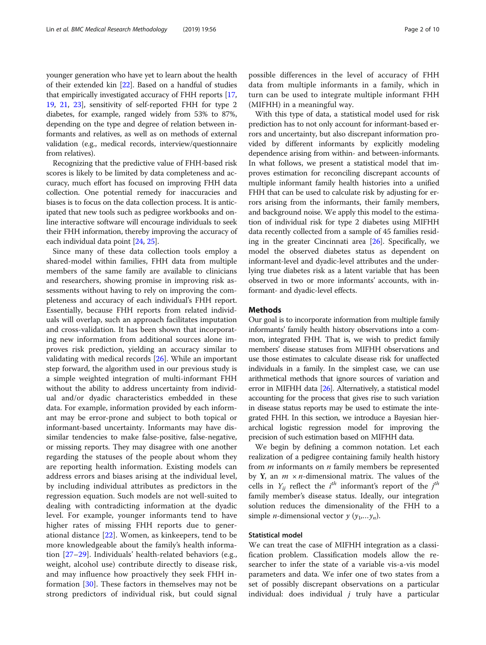younger generation who have yet to learn about the health of their extended kin [[22](#page-8-0)]. Based on a handful of studies that empirically investigated accuracy of FHH reports [[17](#page-8-0), [19](#page-8-0), [21,](#page-8-0) [23\]](#page-8-0), sensitivity of self-reported FHH for type 2 diabetes, for example, ranged widely from 53% to 87%, depending on the type and degree of relation between informants and relatives, as well as on methods of external validation (e.g., medical records, interview/questionnaire from relatives).

Recognizing that the predictive value of FHH-based risk scores is likely to be limited by data completeness and accuracy, much effort has focused on improving FHH data collection. One potential remedy for inaccuracies and biases is to focus on the data collection process. It is anticipated that new tools such as pedigree workbooks and online interactive software will encourage individuals to seek their FHH information, thereby improving the accuracy of each individual data point [[24](#page-8-0), [25\]](#page-8-0).

Since many of these data collection tools employ a shared-model within families, FHH data from multiple members of the same family are available to clinicians and researchers, showing promise in improving risk assessments without having to rely on improving the completeness and accuracy of each individual's FHH report. Essentially, because FHH reports from related individuals will overlap, such an approach facilitates imputation and cross-validation. It has been shown that incorporating new information from additional sources alone improves risk prediction, yielding an accuracy similar to validating with medical records [\[26\]](#page-8-0). While an important step forward, the algorithm used in our previous study is a simple weighted integration of multi-informant FHH without the ability to address uncertainty from individual and/or dyadic characteristics embedded in these data. For example, information provided by each informant may be error-prone and subject to both topical or informant-based uncertainty. Informants may have dissimilar tendencies to make false-positive, false-negative, or missing reports. They may disagree with one another regarding the statuses of the people about whom they are reporting health information. Existing models can address errors and biases arising at the individual level, by including individual attributes as predictors in the regression equation. Such models are not well-suited to dealing with contradicting information at the dyadic level. For example, younger informants tend to have higher rates of missing FHH reports due to generational distance [[22\]](#page-8-0). Women, as kinkeepers, tend to be more knowledgeable about the family's health information [\[27](#page-8-0)–[29](#page-8-0)]. Individuals' health-related behaviors (e.g., weight, alcohol use) contribute directly to disease risk, and may influence how proactively they seek FHH information [[30\]](#page-8-0). These factors in themselves may not be strong predictors of individual risk, but could signal

possible differences in the level of accuracy of FHH data from multiple informants in a family, which in turn can be used to integrate multiple informant FHH (MIFHH) in a meaningful way.

With this type of data, a statistical model used for risk prediction has to not only account for informant-based errors and uncertainty, but also discrepant information provided by different informants by explicitly modeling dependence arising from within- and between-informants. In what follows, we present a statistical model that improves estimation for reconciling discrepant accounts of multiple informant family health histories into a unified FHH that can be used to calculate risk by adjusting for errors arising from the informants, their family members, and background noise. We apply this model to the estimation of individual risk for type 2 diabetes using MIFHH data recently collected from a sample of 45 families residing in the greater Cincinnati area  $[26]$ . Specifically, we model the observed diabetes status as dependent on informant-level and dyadic-level attributes and the underlying true diabetes risk as a latent variable that has been observed in two or more informants' accounts, with informant- and dyadic-level effects.

#### Methods

Our goal is to incorporate information from multiple family informants' family health history observations into a common, integrated FHH. That is, we wish to predict family members' disease statuses from MIFHH observations and use those estimates to calculate disease risk for unaffected individuals in a family. In the simplest case, we can use arithmetical methods that ignore sources of variation and error in MIFHH data [\[26\]](#page-8-0). Alternatively, a statistical model accounting for the process that gives rise to such variation in disease status reports may be used to estimate the integrated FHH. In this section, we introduce a Bayesian hierarchical logistic regression model for improving the precision of such estimation based on MIFHH data.

We begin by defining a common notation. Let each realization of a pedigree containing family health history from  $m$  informants on  $n$  family members be represented by Y, an  $m \times n$ -dimensional matrix. The values of the cells in  $Y_{ij}$  reflect the  $i^{th}$  informant's report of the  $j^{th}$ family member's disease status. Ideally, our integration solution reduces the dimensionality of the FHH to a simple *n*-dimensional vector  $y(y_1,...y_n)$ .

#### Statistical model

We can treat the case of MIFHH integration as a classification problem. Classification models allow the researcher to infer the state of a variable vis-a-vis model parameters and data. We infer one of two states from a set of possibly discrepant observations on a particular individual: does individual  $j$  truly have a particular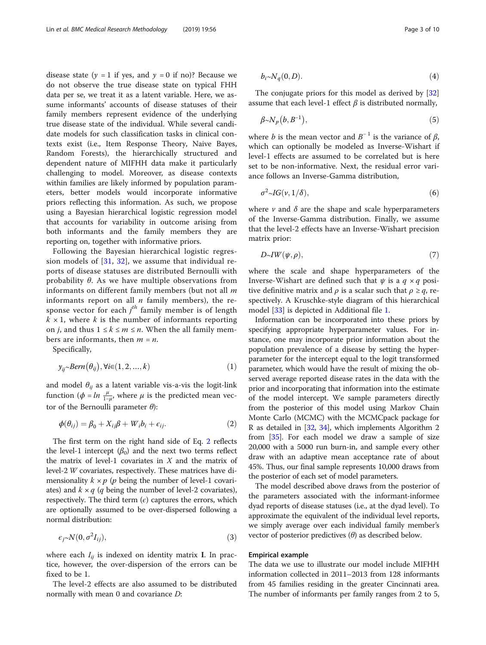disease state ( $y = 1$  if yes, and  $y = 0$  if no)? Because we do not observe the true disease state on typical FHH data per se, we treat it as a latent variable. Here, we assume informants' accounts of disease statuses of their family members represent evidence of the underlying true disease state of the individual. While several candidate models for such classification tasks in clinical contexts exist (i.e., Item Response Theory, Naive Bayes, Random Forests), the hierarchically structured and dependent nature of MIFHH data make it particularly challenging to model. Moreover, as disease contexts within families are likely informed by population parameters, better models would incorporate informative priors reflecting this information. As such, we propose using a Bayesian hierarchical logistic regression model that accounts for variability in outcome arising from both informants and the family members they are reporting on, together with informative priors.

Following the Bayesian hierarchical logistic regression models of  $[31, 32]$  $[31, 32]$  $[31, 32]$  $[31, 32]$  $[31, 32]$ , we assume that individual reports of disease statuses are distributed Bernoulli with probability  $\theta$ . As we have multiple observations from informants on different family members (but not all  $m$ informants report on all  $n$  family members), the response vector for each  $j^{th}$  family member is of length  $k \times 1$ , where k is the number of informants reporting on *j*, and thus  $1 \leq k \leq m \leq n$ . When the all family members are informants, then  $m = n$ .

Specifically,

$$
y_{ij} \sim Bern(\theta_{ij}), \forall i \in (1, 2, ..., k)
$$
 (1)

and model  $\theta_{ij}$  as a latent variable vis-a-vis the logit-link function  $(\phi = ln \frac{\mu}{1-\mu})$ , where  $\mu$  is the predicted mean vector of the Bernoulli parameter  $θ$ ):

$$
\phi(\theta_{ij}) = \beta_0 + X_{ij}\beta + W_i b_i + \epsilon_{ij}.
$$
\n(2)

The first term on the right hand side of Eq. 2 reflects the level-1 intercept  $(\beta_0)$  and the next two terms reflect the matrix of level-1 covariates in  $X$  and the matrix of level-2 W covariates, respectively. These matrices have dimensionality  $k \times p$  (p being the number of level-1 covariates) and  $k \times q$  (q being the number of level-2 covariates), respectively. The third term  $(\epsilon)$  captures the errors, which are optionally assumed to be over-dispersed following a normal distribution:

$$
\epsilon_j \sim N(0, \sigma^2 I_{ij}), \tag{3}
$$

where each  $I_{ij}$  is indexed on identity matrix **I**. In practice, however, the over-dispersion of the errors can be fixed to be 1.

The level-2 effects are also assumed to be distributed normally with mean 0 and covariance *D*:

$$
b_i \sim N_q(0, D). \tag{4}
$$

The conjugate priors for this model as derived by [[32](#page-8-0)] assume that each level-1 effect  $\beta$  is distributed normally,

$$
\beta \sim N_p(b, B^{-1}), \tag{5}
$$

where *b* is the mean vector and  $B^{-1}$  is the variance of  $\beta$ , which can optionally be modeled as Inverse-Wishart if level-1 effects are assumed to be correlated but is here set to be non-informative. Next, the residual error variance follows an Inverse-Gamma distribution,

$$
\sigma^2 \sim IG(\nu, 1/\delta),\tag{6}
$$

where  $\nu$  and  $\delta$  are the shape and scale hyperparameters of the Inverse-Gamma distribution. Finally, we assume that the level-2 effects have an Inverse-Wishart precision matrix prior:

$$
D\sim IW(\psi,\rho),\tag{7}
$$

where the scale and shape hyperparameters of the Inverse-Wishart are defined such that  $\psi$  is a  $q \times q$  positive definitive matrix and  $\rho$  is a scalar such that  $\rho \geq q$ , respectively. A Kruschke-style diagram of this hierarchical model [\[33](#page-8-0)] is depicted in Additional file [1](#page-7-0).

Information can be incorporated into these priors by specifying appropriate hyperparameter values. For instance, one may incorporate prior information about the population prevalence of a disease by setting the hyperparameter for the intercept equal to the logit transformed parameter, which would have the result of mixing the observed average reported disease rates in the data with the prior and incorporating that information into the estimate of the model intercept. We sample parameters directly from the posterior of this model using Markov Chain Monte Carlo (MCMC) with the MCMCpack package for R as detailed in [\[32,](#page-8-0) [34](#page-8-0)], which implements Algorithm 2 from [[35](#page-8-0)]. For each model we draw a sample of size 20,000 with a 5000 run burn-in, and sample every other draw with an adaptive mean acceptance rate of about 45%. Thus, our final sample represents 10,000 draws from the posterior of each set of model parameters.

The model described above draws from the posterior of the parameters associated with the informant-informee dyad reports of disease statuses (i.e., at the dyad level). To approximate the equivalent of the individual level reports, we simply average over each individual family member's vector of posterior predictives  $(\theta)$  as described below.

#### Empirical example

The data we use to illustrate our model include MIFHH information collected in 2011–2013 from 128 informants from 45 families residing in the greater Cincinnati area. The number of informants per family ranges from 2 to 5,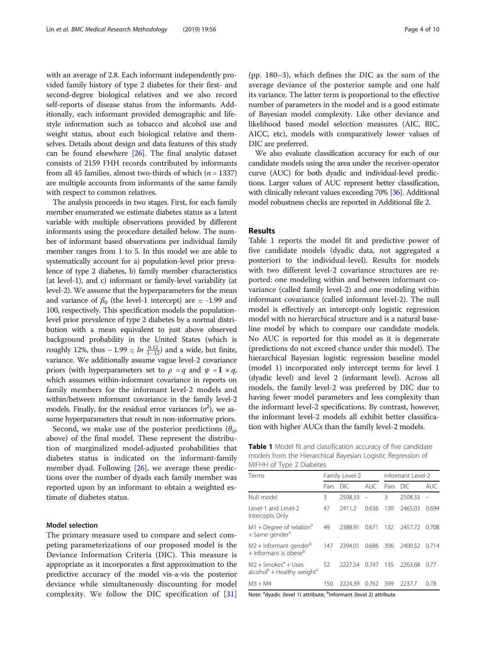with an average of 2.8. Each informant independently provided family history of type 2 diabetes for their first- and second-degree biological relatives and we also record self-reports of disease status from the informants. Additionally, each informant provided demographic and lifestyle information such as tobacco and alcohol use and weight status, about each biological relative and themselves. Details about design and data features of this study can be found elsewhere [[26](#page-8-0)]. The final analytic dataset consists of 2159 FHH records contributed by informants from all 45 families, almost two-thirds of which  $(n = 1337)$ are multiple accounts from informants of the same family with respect to common relatives.

The analysis proceeds in two stages. First, for each family member enumerated we estimate diabetes status as a latent variable with multiple observations provided by different informants using the procedure detailed below. The number of informant based observations per individual family member ranges from 1 to 5. In this model we are able to systematically account for a) population-level prior prevalence of type 2 diabetes, b) family member characteristics (at level-1), and c) informant or family-level variability (at level-2). We assume that the hyperparameters for the mean and variance of  $\beta_0$  (the level-1 intercept) are  $\approx$  -1.99 and 100, respectively. This specification models the populationlevel prior prevalence of type 2 diabetes by a normal distribution with a mean equivalent to just above observed background probability in the United States (which is roughly 12%, thus  $-1.99 \approx ln \frac{0.12}{1-.12}$  and a wide, but finite, variance. We additionally assume vague level-2 covariance priors (with hyperparameters set to  $\rho = q$  and  $\psi = I \times q$ , which assumes within-informant covariance in reports on family members for the informant level-2 models and within/between informant covariance in the family level-2 models. Finally, for the residual error variances  $(\sigma^2)$ , we assume hyperparameters that result in non-informative priors.

Second, we make use of the posterior predictions  $(\theta_{ij},$ above) of the final model. These represent the distribution of marginalized model-adjusted probabilities that diabetes status is indicated on the informant-family member dyad. Following  $[26]$  $[26]$ , we average these predictions over the number of dyads each family member was reported upon by an informant to obtain a weighted estimate of diabetes status.

#### Model selection

The primary measure used to compare and select competing parameterizations of our proposed model is the Deviance Information Criteria (DIC). This measure is appropriate as it incorporates a first approximation to the predictive accuracy of the model vis-a-vis the posterior deviance while simultaneously discounting for model complexity. We follow the DIC specification of [\[31](#page-8-0)]

(pp. 180–3), which defines the DIC as the sum of the average deviance of the posterior sample and one half its variance. The latter term is proportional to the effective number of parameters in the model and is a good estimate of Bayesian model complexity. Like other deviance and likelihood based model selection measures (AIC, BIC, AICC, etc), models with comparatively lower values of DIC are preferred.

We also evaluate classification accuracy for each of our candidate models using the area under the receiver-operator curve (AUC) for both dyadic and individual-level predictions. Larger values of AUC represent better classification, with clinically relevant values exceeding 70% [\[36](#page-8-0)]. Additional model robustness checks are reported in Additional file [2.](#page-7-0)

## **Results**

Table 1 reports the model fit and predictive power of five candidate models (dyadic data, not aggregated a posteriori to the individual-level). Results for models with two different level-2 covariance structures are reported: one modeling within and between informant covariance (called family level-2) and one modeling within informant covariance (called informant level-2). The null model is effectively an intercept-only logistic regression model with no hierarchical structure and is a natural baseline model by which to compare our candidate models. No AUC is reported for this model as it is degenerate (predictions do not exceed chance under this model). The hierarchical Bayesian logistic regression baseline model (model 1) incorporated only intercept terms for level 1 (dyadic level) and level 2 (informant level). Across all models, the family level-2 was preferred by DIC due to having fewer model parameters and less complexity than the informant level-2 specifications. By contrast, however, the informant level-2 models all exhibit better classification with higher AUCs than the family level-2 models.

| Table 1 Model fit and classification accuracy of five candidate |
|-----------------------------------------------------------------|
| models from the Hierarchical Bayesian Logistic Regression of    |
| MIFHH of Type 2 Diabetes                                        |

| Terms                                                                                    | Family Level-2 |         |       | Informant Level-2 |         |            |
|------------------------------------------------------------------------------------------|----------------|---------|-------|-------------------|---------|------------|
|                                                                                          | Pars           | DIC.    | AUC.  | Pars DIC          |         | <b>AUC</b> |
| Null model                                                                               | 3              | 2508.33 |       | 3                 | 2508.33 |            |
| Level-1 and Level-2<br>Intercepts Only                                                   | 47             | 2411.2  | 0.636 | 130               | 2465.03 | 0.694      |
| $M1 +$ Degree of relation <sup>a</sup><br>+ Same gender <sup>a</sup>                     | 49             | 2388.91 | 0.671 | 132               | 2457.72 | 0.708      |
| M2 + Informant gender <sup>b</sup><br>+ Informant is obese <sup>b</sup>                  | 147            | 2394.01 | 0.686 | 396               | 2400.52 | 0.714      |
| $M2 + 5$ mokes <sup>a</sup> + Uses<br>alcohol <sup>a</sup> + Healthy weight <sup>a</sup> | 52             | 2227.54 | 0.747 | 135               | 2263.68 | 0.77       |
| $M3 + M4$                                                                                | 150            | 2224.39 | 0.762 | 399               | 2237.7  | 0.78       |
|                                                                                          |                |         |       |                   |         |            |

Note: <sup>a</sup>dyadic (level 1) attribute; <sup>b</sup>informant (level 2) attribute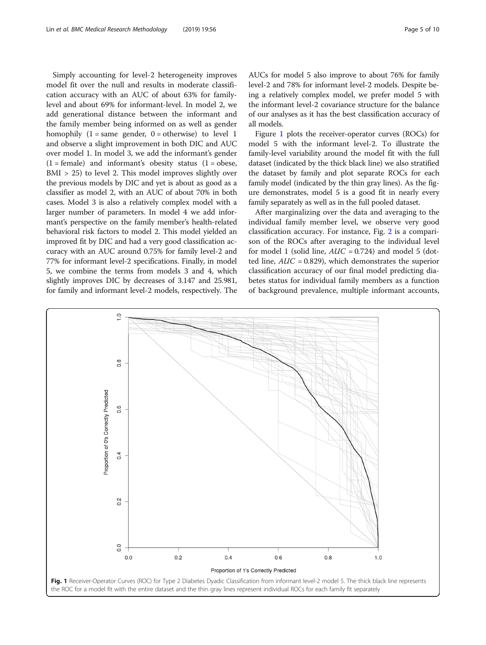Simply accounting for level-2 heterogeneity improves model fit over the null and results in moderate classification accuracy with an AUC of about 63% for familylevel and about 69% for informant-level. In model 2, we add generational distance between the informant and the family member being informed on as well as gender homophily  $(1 = same gender, 0 = otherwise)$  to level 1 and observe a slight improvement in both DIC and AUC over model 1. In model 3, we add the informant's gender  $(1 = female)$  and informant's obesity status  $(1 = obese,$ BMI > 25) to level 2. This model improves slightly over the previous models by DIC and yet is about as good as a classifier as model 2, with an AUC of about 70% in both cases. Model 3 is also a relatively complex model with a larger number of parameters. In model 4 we add informant's perspective on the family member's health-related behavioral risk factors to model 2. This model yielded an improved fit by DIC and had a very good classification accuracy with an AUC around 0.75% for family level-2 and 77% for informant level-2 specifications. Finally, in model 5, we combine the terms from models 3 and 4, which slightly improves DIC by decreases of 3.147 and 25.981, for family and informant level-2 models, respectively. The AUCs for model 5 also improve to about 76% for family level-2 and 78% for informant level-2 models. Despite being a relatively complex model, we prefer model 5 with the informant level-2 covariance structure for the balance of our analyses as it has the best classification accuracy of all models.

Figure 1 plots the receiver-operator curves (ROCs) for model 5 with the informant level-2. To illustrate the family-level variability around the model fit with the full dataset (indicated by the thick black line) we also stratified the dataset by family and plot separate ROCs for each family model (indicated by the thin gray lines). As the figure demonstrates, model 5 is a good fit in nearly every family separately as well as in the full pooled dataset.

After marginalizing over the data and averaging to the individual family member level, we observe very good classification accuracy. For instance, Fig. [2](#page-5-0) is a comparison of the ROCs after averaging to the individual level for model 1 (solid line,  $AUC = 0.724$ ) and model 5 (dotted line,  $AUC = 0.829$ ), which demonstrates the superior classification accuracy of our final model predicting diabetes status for individual family members as a function of background prevalence, multiple informant accounts,

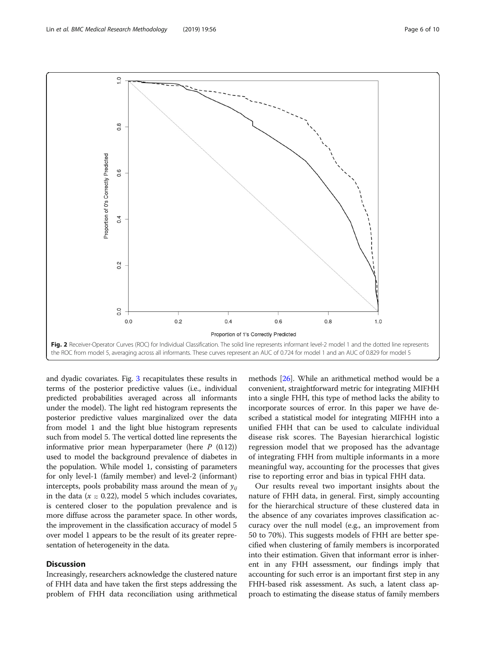<span id="page-5-0"></span>

and dyadic covariates. Fig. [3](#page-6-0) recapitulates these results in terms of the posterior predictive values (i.e., individual predicted probabilities averaged across all informants under the model). The light red histogram represents the posterior predictive values marginalized over the data from model 1 and the light blue histogram represents such from model 5. The vertical dotted line represents the informative prior mean hyperparameter (here  $P(0.12)$ ) used to model the background prevalence of diabetes in the population. While model 1, consisting of parameters for only level-1 (family member) and level-2 (informant) intercepts, pools probability mass around the mean of  $y_{ii}$ in the data ( $x = 0.22$ ), model 5 which includes covariates, is centered closer to the population prevalence and is more diffuse across the parameter space. In other words, the improvement in the classification accuracy of model 5 over model 1 appears to be the result of its greater representation of heterogeneity in the data.

## **Discussion**

Increasingly, researchers acknowledge the clustered nature of FHH data and have taken the first steps addressing the problem of FHH data reconciliation using arithmetical methods [\[26\]](#page-8-0). While an arithmetical method would be a convenient, straightforward metric for integrating MIFHH into a single FHH, this type of method lacks the ability to incorporate sources of error. In this paper we have described a statistical model for integrating MIFHH into a unified FHH that can be used to calculate individual disease risk scores. The Bayesian hierarchical logistic regression model that we proposed has the advantage of integrating FHH from multiple informants in a more meaningful way, accounting for the processes that gives rise to reporting error and bias in typical FHH data.

Our results reveal two important insights about the nature of FHH data, in general. First, simply accounting for the hierarchical structure of these clustered data in the absence of any covariates improves classification accuracy over the null model (e.g., an improvement from 50 to 70%). This suggests models of FHH are better specified when clustering of family members is incorporated into their estimation. Given that informant error is inherent in any FHH assessment, our findings imply that accounting for such error is an important first step in any FHH-based risk assessment. As such, a latent class approach to estimating the disease status of family members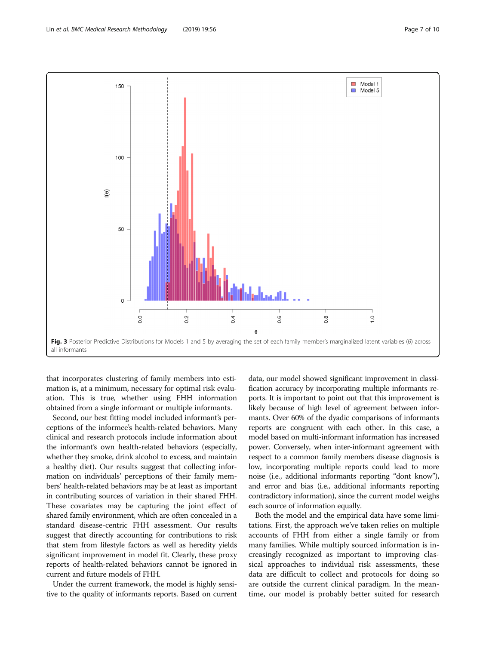<span id="page-6-0"></span>

that incorporates clustering of family members into estimation is, at a minimum, necessary for optimal risk evaluation. This is true, whether using FHH information obtained from a single informant or multiple informants.

Second, our best fitting model included informant's perceptions of the informee's health-related behaviors. Many clinical and research protocols include information about the informant's own health-related behaviors (especially, whether they smoke, drink alcohol to excess, and maintain a healthy diet). Our results suggest that collecting information on individuals' perceptions of their family members' health-related behaviors may be at least as important in contributing sources of variation in their shared FHH. These covariates may be capturing the joint effect of shared family environment, which are often concealed in a standard disease-centric FHH assessment. Our results suggest that directly accounting for contributions to risk that stem from lifestyle factors as well as heredity yields significant improvement in model fit. Clearly, these proxy reports of health-related behaviors cannot be ignored in current and future models of FHH.

Under the current framework, the model is highly sensitive to the quality of informants reports. Based on current

data, our model showed significant improvement in classification accuracy by incorporating multiple informants reports. It is important to point out that this improvement is likely because of high level of agreement between informants. Over 60% of the dyadic comparisons of informants reports are congruent with each other. In this case, a model based on multi-informant information has increased power. Conversely, when inter-informant agreement with respect to a common family members disease diagnosis is low, incorporating multiple reports could lead to more noise (i.e., additional informants reporting "dont know"), and error and bias (i.e., additional informants reporting contradictory information), since the current model weighs each source of information equally.

Both the model and the empirical data have some limitations. First, the approach we've taken relies on multiple accounts of FHH from either a single family or from many families. While multiply sourced information is increasingly recognized as important to improving classical approaches to individual risk assessments, these data are difficult to collect and protocols for doing so are outside the current clinical paradigm. In the meantime, our model is probably better suited for research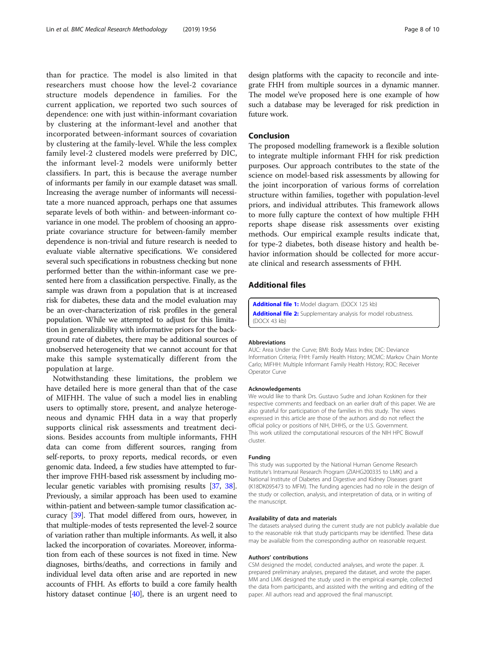<span id="page-7-0"></span>than for practice. The model is also limited in that researchers must choose how the level-2 covariance structure models dependence in families. For the current application, we reported two such sources of dependence: one with just within-informant covariation by clustering at the informant-level and another that incorporated between-informant sources of covariation by clustering at the family-level. While the less complex family level-2 clustered models were preferred by DIC, the informant level-2 models were uniformly better classifiers. In part, this is because the average number of informants per family in our example dataset was small. Increasing the average number of informants will necessitate a more nuanced approach, perhaps one that assumes separate levels of both within- and between-informant covariance in one model. The problem of choosing an appropriate covariance structure for between-family member dependence is non-trivial and future research is needed to evaluate viable alternative specifications. We considered several such specifications in robustness checking but none performed better than the within-informant case we presented here from a classification perspective. Finally, as the sample was drawn from a population that is at increased risk for diabetes, these data and the model evaluation may be an over-characterization of risk profiles in the general population. While we attempted to adjust for this limitation in generalizability with informative priors for the background rate of diabetes, there may be additional sources of unobserved heterogeneity that we cannot account for that make this sample systematically different from the population at large.

Notwithstanding these limitations, the problem we have detailed here is more general than that of the case of MIFHH. The value of such a model lies in enabling users to optimally store, present, and analyze heterogeneous and dynamic FHH data in a way that properly supports clinical risk assessments and treatment decisions. Besides accounts from multiple informants, FHH data can come from different sources, ranging from self-reports, to proxy reports, medical records, or even genomic data. Indeed, a few studies have attempted to further improve FHH-based risk assessment by including molecular genetic variables with promising results [[37](#page-8-0), [38](#page-8-0)]. Previously, a similar approach has been used to examine within-patient and between-sample tumor classification accuracy [\[39](#page-9-0)]. That model differed from ours, however, in that multiple-modes of tests represented the level-2 source of variation rather than multiple informants. As well, it also lacked the incorporation of covariates. Moreover, information from each of these sources is not fixed in time. New diagnoses, births/deaths, and corrections in family and individual level data often arise and are reported in new accounts of FHH. As efforts to build a core family health history dataset continue  $[40]$  $[40]$  $[40]$ , there is an urgent need to

design platforms with the capacity to reconcile and integrate FHH from multiple sources in a dynamic manner. The model we've proposed here is one example of how such a database may be leveraged for risk prediction in future work.

#### Conclusion

The proposed modelling framework is a flexible solution to integrate multiple informant FHH for risk prediction purposes. Our approach contributes to the state of the science on model-based risk assessments by allowing for the joint incorporation of various forms of correlation structure within families, together with population-level priors, and individual attributes. This framework allows to more fully capture the context of how multiple FHH reports shape disease risk assessments over existing methods. Our empirical example results indicate that, for type-2 diabetes, both disease history and health behavior information should be collected for more accurate clinical and research assessments of FHH.

## Additional files

[Additional file 1:](https://doi.org/10.1186/s12874-019-0700-5) Model diagram. (DOCX 125 kb) [Additional file 2:](https://doi.org/10.1186/s12874-019-0700-5) Supplementary analysis for model robustness. (DOCX 43 kb)

#### Abbreviations

AUC: Area Under the Curve; BMI: Body Mass Index; DIC: Deviance Information Criteria; FHH: Family Health History; MCMC: Markov Chain Monte Carlo; MIFHH: Multiple Informant Family Health History; ROC: Receiver Operator Curve

#### Acknowledgements

We would like to thank Drs. Gustavo Sudre and Johan Koskinen for their respective comments and feedback on an earlier draft of this paper. We are also grateful for participation of the families in this study. The views expressed in this article are those of the authors and do not reflect the official policy or positions of NIH, DHHS, or the U.S. Government. This work utilized the computational resources of the NIH HPC Biowulf cluster.

#### Funding

This study was supported by the National Human Genome Research Institute's Intramural Research Program (ZIAHG200335 to LMK) and a National Institute of Diabetes and Digestive and Kidney Diseases grant (K18DK095473 to MFM). The funding agencies had no role in the design of the study or collection, analysis, and interpretation of data, or in writing of the manuscript.

#### Availability of data and materials

The datasets analysed during the current study are not publicly available due to the reasonable risk that study participants may be identified. These data may be available from the corresponding author on reasonable request.

#### Authors' contributions

CSM designed the model, conducted analyses, and wrote the paper. JL prepared preliminary analyses, prepared the dataset, and wrote the paper. MM and LMK designed the study used in the empirical example, collected the data from participants, and assisted with the writing and editing of the paper. All authors read and approved the final manuscript.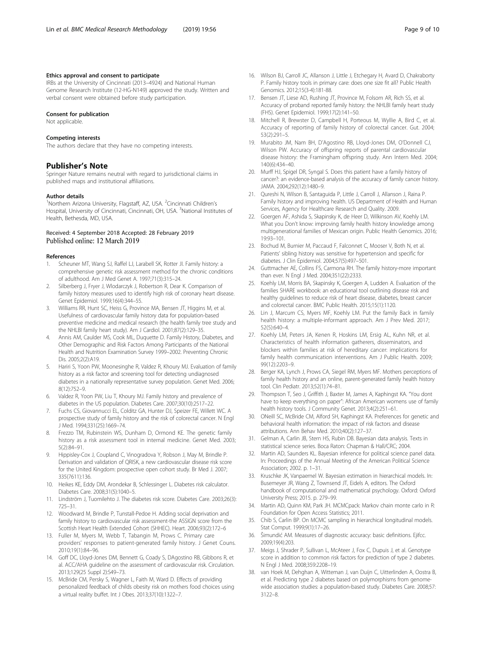#### <span id="page-8-0"></span>Ethics approval and consent to participate

IRBs at the University of Cincinnati (2013–4924) and National Human Genome Research Institute (12-HG-N149) approved the study. Written and verbal consent were obtained before study participation.

#### Consent for publication

Not applicable.

#### Competing interests

The authors declare that they have no competing interests.

#### Publisher's Note

Springer Nature remains neutral with regard to jurisdictional claims in published maps and institutional affiliations.

#### Author details

<sup>1</sup>Northern Arizona University, Flagstaff, AZ, USA. <sup>2</sup>Cincinnati Children's Hospital, University of Cincinnati, Cincinnati, OH, USA. <sup>3</sup>National Institutes of Health, Bethesda, MD, USA.

#### Received: 4 September 2018 Accepted: 28 February 2019 Published online: 12 March 2019

#### References

- 1. Scheuner MT, Wang SJ, Raffel LJ, Larabell SK, Rotter JI. Family history: a comprehensive genetic risk assessment method for the chronic conditions of adulthood. Am J Med Genet A. 1997;71(3):315–24.
- Silberberg J, Fryer J, Wlodarczyk J, Robertson R, Dear K. Comparison of family history measures used to identify high risk of coronary heart disease. Genet Epidemiol. 1999;16(4):344–55.
- 3. Williams RR, Hunt SC, Heiss G, Province MA, Bensen JT, Higgins M, et al. Usefulness of cardiovascular family history data for population-based preventive medicine and medical research (the health family tree study and the NHLBI family heart study). Am J Cardiol. 2001;87(2):129–35.
- 4. Annis AM, Caulder MS, Cook ML, Duquette D. Family History, Diabetes, and Other Demographic and Risk Factors Among Participants of the National Health and Nutrition Examination Survey 1999–2002. Preventing Chronic Dis. 2005;2(2):A19.
- 5. Hariri S, Yoon PW, Moonesinghe R, Valdez R, Khoury MJ. Evaluation of family history as a risk factor and screening tool for detecting undiagnosed diabetes in a nationally representative survey population. Genet Med. 2006; 8(12):752–9.
- 6. Valdez R, Yoon PW, Liu T, Khoury MJ. Family history and prevalence of diabetes in the US population. Diabetes Care. 2007;30(10):2517–22.
- 7. Fuchs CS, Giovannucci EL, Colditz GA, Hunter DJ, Speizer FE, Willett WC. A prospective study of family history and the risk of colorectal cancer. N Engl J Med. 1994;331(25):1669–74.
- 8. Frezzo TM, Rubinstein WS, Dunham D, Ormond KE. The genetic family history as a risk assessment tool in internal medicine. Genet Med. 2003; 5(2):84–91.
- 9. Hippisley-Cox J, Coupland C, Vinogradova Y, Robson J, May M, Brindle P. Derivation and validation of QRISK, a new cardiovascular disease risk score for the United Kingdom: prospective open cohort study. Br Med J. 2007; 335(7611):136.
- 10. Heikes KE, Eddy DM, Arondekar B, Schlessinger L. Diabetes risk calculator. Diabetes Care. 2008;31(5):1040–5.
- 11. Lindström J, Tuomilehto J. The diabetes risk score. Diabetes Care. 2003;26(3): 725–31.
- 12. Woodward M, Brindle P, Tunstall-Pedoe H. Adding social deprivation and family history to cardiovascular risk assessment-the ASSIGN score from the Scottish Heart Health Extended Cohort (SHHEC). Heart. 2006;93(2):172–6
- 13. Fuller M, Myers M, Webb T, Tabangin M, Prows C. Primary care providers' responses to patient-generated family history. J Genet Couns. 2010;19(1):84–96.
- 14. Goff DC, Lloyd-Jones DM, Bennett G, Coady S, DAgostino RB, Gibbons R, et al. ACC/AHA guideline on the assessment of cardiovascular risk. Circulation. 2013;129(25 Suppl 2):S49–73.
- 15. McBride CM, Persky S, Wagner L, Faith M, Ward D. Effects of providing personalized feedback of childs obesity risk on mothers food choices using a virtual reality buffet. Int J Obes. 2013;37(10):1322–7.
- 16. Wilson BJ, Carroll JC, Allanson J, Little J, Etchegary H, Avard D, Chakraborty P. Family history tools in primary care: does one size fit all? Public Health Genomics. 2012;15(3-4):181-88.
- 17. Bensen JT, Liese AD, Rushing JT, Province M, Folsom AR, Rich SS, et al. Accuracy of proband reported family history: the NHLBI family heart study (FHS). Genet Epidemiol. 1999;17(2):141–50.
- 18. Mitchell R, Brewster D, Campbell H, Porteous M, Wyllie A, Bird C, et al. Accuracy of reporting of family history of colorectal cancer. Gut. 2004; 53(2):291–5.
- 19. Murabito JM, Nam BH, D'Agostino RB, Lloyd-Jones DM, O'Donnell CJ, Wilson PW. Accuracy of offspring reports of parental cardiovascular disease history: the Framingham offspring study. Ann Intern Med. 2004; 140(6):434–40.
- 20. Murff HJ, Spigel DR, Syngal S. Does this patient have a family history of cancer?: an evidence-based analysis of the accuracy of family cancer history. JAMA. 2004;292(12):1480–9.
- 21. Qureshi N, Wilson B, Santaguida P, Little J, Carroll J, Allanson J, Raina P. Family history and improving health. US Department of Health and Human Services, Agency for Healthcare Research and Quality. 2009.
- 22. Goergen AF, Ashida S, Skapinsky K, de Heer D, Wilkinson AV, Koehly LM. What you Don't know: improving family health history knowledge among multigenerational families of Mexican origin. Public Health Genomics. 2016; 19:93–101.
- 23. Bochud M, Burnier M, Paccaud F, Falconnet C, Mooser V, Both N, et al. Patients' sibling history was sensitive for hypertension and specific for diabetes. J Clin Epidemiol. 2004;57(5):497–501.
- 24. Guttmacher AE, Collins FS, Carmona RH. The family history-more important than ever. N Engl J Med. 2004;351(22):2333.
- 25. Koehly LM, Morris BA, Skapinsky K, Goergen A, Ludden A. Evaluation of the families SHARE workbook: an educational tool outlining disease risk and healthy guidelines to reduce risk of heart disease, diabetes, breast cancer and colorectal cancer. BMC Public Health. 2015;15(1):1120.
- 26. Lin J, Marcum CS, Myers MF, Koehly LM. Put the family Back in family health history: a multiple-informant approach. Am J Prev Med. 2017; 52(5):640–4.
- 27. Koehly LM, Peters JA, Kenen R, Hoskins LM, Ersig AL, Kuhn NR, et al. Characteristics of health information gatherers, disseminators, and blockers within families at risk of hereditary cancer: implications for family health communication interventions. Am J Public Health. 2009; 99(12):2203–9.
- 28. Berger KA, Lynch J, Prows CA, Siegel RM, Myers MF. Mothers perceptions of family health history and an online, parent-generated family health history tool. Clin Pediatr. 2013;52(1):74–81.
- 29. Thompson T, Seo J, Griffith J, Baxter M, James A, Kaphingst KA. "You dont have to keep everything on paper": African American womens use of family health history tools. J Community Genet. 2013;4(2):251–61.
- 30. ONeill SC, McBride CM, Alford SH, Kaphingst KA. Preferences for genetic and behavioral health information: the impact of risk factors and disease attributions. Ann Behav Med. 2010;40(2):127–37.
- 31. Gelman A, Carlin JB, Stern HS, Rubin DB. Bayesian data analysis. Texts in statistical science series. Boca Raton: Chapman & Hall/CRC; 2004.
- 32. Martin AD, Saunders KL. Bayesian inference for political science panel data. In: Proceedings of the Annual Meeting of the American Political Science Association; 2002. p. 1–31.
- 33. Kruschke JK, Vanpaemel W. Bayesian estimation in hierarchical models. In: Busemeyer JR, Wang Z, Townsend JT, Eidels A, editors. The Oxford handbook of computational and mathematical psychology. Oxford: Oxford University Press; 2015. p. 279–99.
- 34. Martin AD, Quinn KM, Park JH. MCMCpack: Markov chain monte carlo in R: Foundation for Open Access Statistics; 2011.
- Chib S, Carlin BP. On MCMC sampling in hierarchical longitudinal models. Stat Comput. 1999;9(1):17–26.
- 36. Šimundić AM. Measures of diagnostic accuracy: basic definitions. Ejifcc. 2009;19(4):203.
- 37. Meigs J, Shrader P, Sullivan L, McAteer J, Fox C, Dupuis J, et al. Genotype score in addition to common risk factors for prediction of type 2 diabetes. N Engl J Med. 2008;359:2208–19.
- 38. van Hoek M, Dehghan A, Witteman J, van Duijn C, Uitterlinden A, Oostra B, et al. Predicting type 2 diabetes based on polymorphisms from genomewide association studies: a population-based study. Diabetes Care. 2008;57: 3122–8.